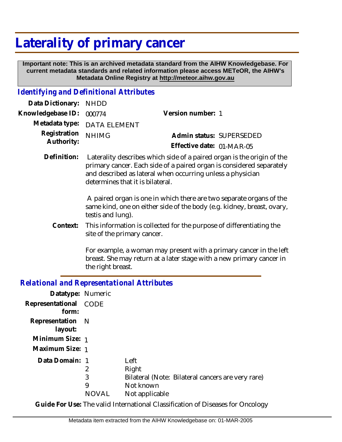# **Laterality of primary cancer**

 **Important note: This is an archived metadata standard from the AIHW Knowledgebase. For current metadata standards and related information please access METeOR, the AIHW's Metadata Online Registry at http://meteor.aihw.gov.au**

### *Identifying and Definitional Attributes*

| Data Dictionary: NHDD            |                             |                           |  |
|----------------------------------|-----------------------------|---------------------------|--|
| Knowledgebase ID: 000774         |                             | Version number: 1         |  |
|                                  | Metadata type: DATA ELEMENT |                           |  |
| Registration NHIMG<br>Authority: |                             | Admin status: SUPERSEDED  |  |
|                                  |                             | Effective date: 01-MAR-05 |  |
|                                  |                             |                           |  |

 Laterality describes which side of a paired organ is the origin of the primary cancer. Each side of a paired organ is considered separately and described as lateral when occurring unless a physician determines that it is bilateral. **Definition:**

> A paired organ is one in which there are two separate organs of the same kind, one on either side of the body (e.g. kidney, breast, ovary, testis and lung).

This information is collected for the purpose of differentiating the site of the primary cancer. **Context:**

> For example, a woman may present with a primary cancer in the left breast. She may return at a later stage with a new primary cancer in the right breast.

## *Relational and Representational Attributes*

| Datatype: Numeric              |       |                |                                                   |
|--------------------------------|-------|----------------|---------------------------------------------------|
| Representational CODE<br>form: |       |                |                                                   |
| Representation N<br>layout:    |       |                |                                                   |
| Minimum Size: 1                |       |                |                                                   |
| Maximum Size: 1                |       |                |                                                   |
| Data Domain: 1                 |       | Left           |                                                   |
|                                | 2     | Right          |                                                   |
|                                | 3     |                | Bilateral (Note: Bilateral cancers are very rare) |
|                                | 9     | Not known      |                                                   |
|                                | NOVAL | Not applicable |                                                   |

**Guide For Use:** The valid International Classification of Diseases for Oncology